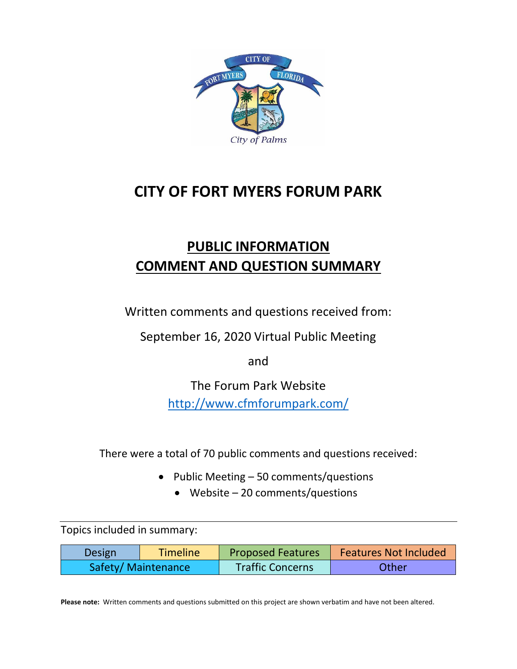

# **CITY OF FORT MYERS FORUM PARK**

# **PUBLIC INFORMATION COMMENT AND QUESTION SUMMARY**

Written comments and questions received from:

September 16, 2020 Virtual Public Meeting

and

The Forum Park Website <http://www.cfmforumpark.com/>

There were a total of 70 public comments and questions received:

- Public Meeting 50 comments/questions
	- Website 20 comments/questions

Topics included in summary:

| <b>Design</b>       | Timeline | <b>Proposed Features</b> | <b>Features Not Included</b> |
|---------------------|----------|--------------------------|------------------------------|
| Safety/ Maintenance |          | <b>Traffic Concerns</b>  | Other                        |

**Please note:** Written comments and questions submitted on this project are shown verbatim and have not been altered.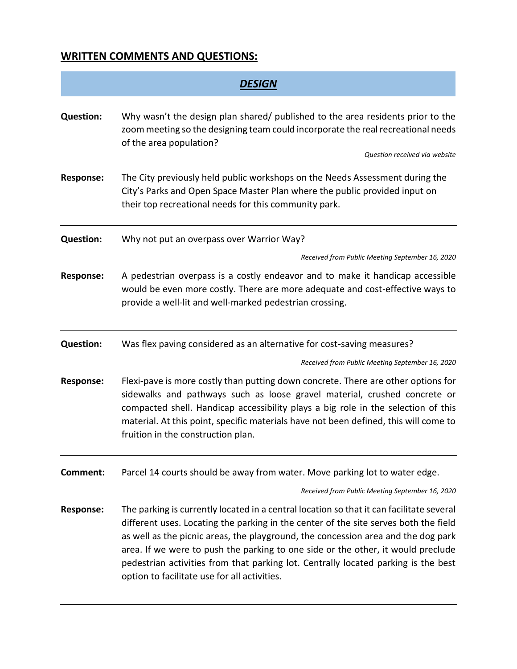## **WRITTEN COMMENTS AND QUESTIONS:**

| <b>DESIGN</b>    |                                                                                                                                                                                                                                                                                                                                                                                                                                                                                                 |
|------------------|-------------------------------------------------------------------------------------------------------------------------------------------------------------------------------------------------------------------------------------------------------------------------------------------------------------------------------------------------------------------------------------------------------------------------------------------------------------------------------------------------|
| <b>Question:</b> | Why wasn't the design plan shared/ published to the area residents prior to the<br>zoom meeting so the designing team could incorporate the real recreational needs<br>of the area population?<br>Question received via website                                                                                                                                                                                                                                                                 |
| <b>Response:</b> | The City previously held public workshops on the Needs Assessment during the<br>City's Parks and Open Space Master Plan where the public provided input on<br>their top recreational needs for this community park.                                                                                                                                                                                                                                                                             |
| <b>Question:</b> | Why not put an overpass over Warrior Way?                                                                                                                                                                                                                                                                                                                                                                                                                                                       |
|                  | Received from Public Meeting September 16, 2020                                                                                                                                                                                                                                                                                                                                                                                                                                                 |
| <b>Response:</b> | A pedestrian overpass is a costly endeavor and to make it handicap accessible<br>would be even more costly. There are more adequate and cost-effective ways to<br>provide a well-lit and well-marked pedestrian crossing.                                                                                                                                                                                                                                                                       |
| <b>Question:</b> | Was flex paving considered as an alternative for cost-saving measures?                                                                                                                                                                                                                                                                                                                                                                                                                          |
|                  | Received from Public Meeting September 16, 2020                                                                                                                                                                                                                                                                                                                                                                                                                                                 |
| <b>Response:</b> | Flexi-pave is more costly than putting down concrete. There are other options for<br>sidewalks and pathways such as loose gravel material, crushed concrete or<br>compacted shell. Handicap accessibility plays a big role in the selection of this<br>material. At this point, specific materials have not been defined, this will come to<br>fruition in the construction plan.                                                                                                               |
| Comment:         | Parcel 14 courts should be away from water. Move parking lot to water edge.                                                                                                                                                                                                                                                                                                                                                                                                                     |
|                  | Received from Public Meeting September 16, 2020                                                                                                                                                                                                                                                                                                                                                                                                                                                 |
| <b>Response:</b> | The parking is currently located in a central location so that it can facilitate several<br>different uses. Locating the parking in the center of the site serves both the field<br>as well as the picnic areas, the playground, the concession area and the dog park<br>area. If we were to push the parking to one side or the other, it would preclude<br>pedestrian activities from that parking lot. Centrally located parking is the best<br>option to facilitate use for all activities. |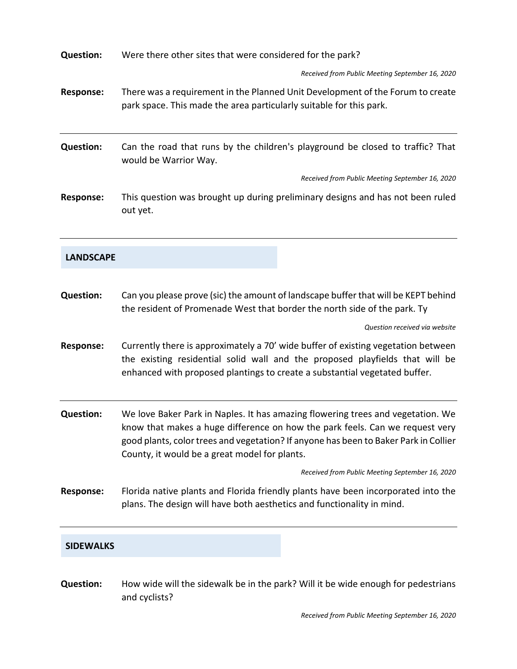| <b>Question:</b> | Were there other sites that were considered for the park?                                                                                                                                                                                                                                                |
|------------------|----------------------------------------------------------------------------------------------------------------------------------------------------------------------------------------------------------------------------------------------------------------------------------------------------------|
|                  | Received from Public Meeting September 16, 2020                                                                                                                                                                                                                                                          |
| <b>Response:</b> | There was a requirement in the Planned Unit Development of the Forum to create<br>park space. This made the area particularly suitable for this park.                                                                                                                                                    |
| <b>Question:</b> | Can the road that runs by the children's playground be closed to traffic? That<br>would be Warrior Way.                                                                                                                                                                                                  |
|                  | Received from Public Meeting September 16, 2020                                                                                                                                                                                                                                                          |
| <b>Response:</b> | This question was brought up during preliminary designs and has not been ruled<br>out yet.                                                                                                                                                                                                               |
| <b>LANDSCAPE</b> |                                                                                                                                                                                                                                                                                                          |
| <b>Question:</b> | Can you please prove (sic) the amount of landscape buffer that will be KEPT behind<br>the resident of Promenade West that border the north side of the park. Ty                                                                                                                                          |
|                  | Question received via website                                                                                                                                                                                                                                                                            |
| <b>Response:</b> | Currently there is approximately a 70' wide buffer of existing vegetation between<br>the existing residential solid wall and the proposed playfields that will be<br>enhanced with proposed plantings to create a substantial vegetated buffer.                                                          |
| <b>Question:</b> | We love Baker Park in Naples. It has amazing flowering trees and vegetation. We<br>know that makes a huge difference on how the park feels. Can we request very<br>good plants, color trees and vegetation? If anyone has been to Baker Park in Collier<br>County, it would be a great model for plants. |
|                  | Received from Public Meeting September 16, 2020                                                                                                                                                                                                                                                          |
| <b>Response:</b> | Florida native plants and Florida friendly plants have been incorporated into the<br>plans. The design will have both aesthetics and functionality in mind.                                                                                                                                              |
| <b>SIDEWALKS</b> |                                                                                                                                                                                                                                                                                                          |

**Question:** How wide will the sidewalk be in the park? Will it be wide enough for pedestrians and cyclists?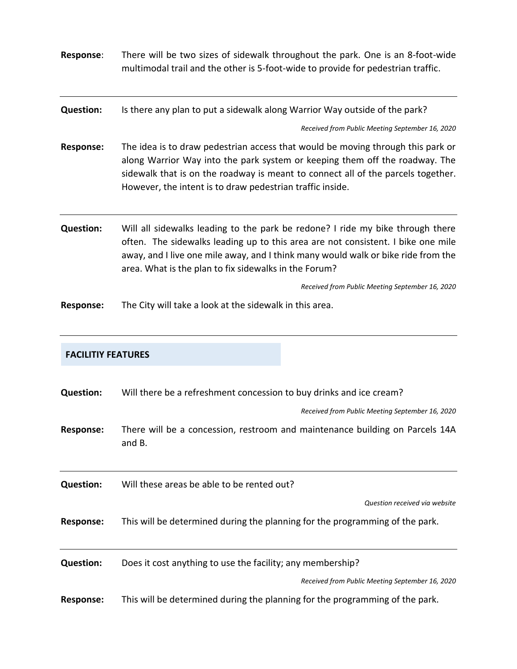| Response:        | There will be two sizes of sidewalk throughout the park. One is an 8-foot-wide<br>multimodal trail and the other is 5-foot-wide to provide for pedestrian traffic.                                                                                                                                               |
|------------------|------------------------------------------------------------------------------------------------------------------------------------------------------------------------------------------------------------------------------------------------------------------------------------------------------------------|
| <b>Question:</b> | Is there any plan to put a sidewalk along Warrior Way outside of the park?                                                                                                                                                                                                                                       |
|                  | Received from Public Meeting September 16, 2020                                                                                                                                                                                                                                                                  |
| <b>Response:</b> | The idea is to draw pedestrian access that would be moving through this park or<br>along Warrior Way into the park system or keeping them off the roadway. The<br>sidewalk that is on the roadway is meant to connect all of the parcels together.<br>However, the intent is to draw pedestrian traffic inside.  |
| <b>Question:</b> | Will all sidewalks leading to the park be redone? I ride my bike through there<br>often. The sidewalks leading up to this area are not consistent. I bike one mile<br>away, and I live one mile away, and I think many would walk or bike ride from the<br>area. What is the plan to fix sidewalks in the Forum? |
|                  | Received from Public Meeting September 16, 2020                                                                                                                                                                                                                                                                  |
| <b>Response:</b> | The City will take a look at the sidewalk in this area.                                                                                                                                                                                                                                                          |

## **FACILITIY FEATURES**

| <b>Question:</b> | Will there be a refreshment concession to buy drinks and ice cream?<br>Received from Public Meeting September 16, 2020 |
|------------------|------------------------------------------------------------------------------------------------------------------------|
| Response:        | There will be a concession, restroom and maintenance building on Parcels 14A<br>and B.                                 |
| <b>Question:</b> | Will these areas be able to be rented out?                                                                             |
|                  | Question received via website                                                                                          |
| <b>Response:</b> | This will be determined during the planning for the programming of the park.                                           |
| <b>Question:</b> | Does it cost anything to use the facility; any membership?                                                             |
|                  | Received from Public Meeting September 16, 2020                                                                        |
| <b>Response:</b> | This will be determined during the planning for the programming of the park.                                           |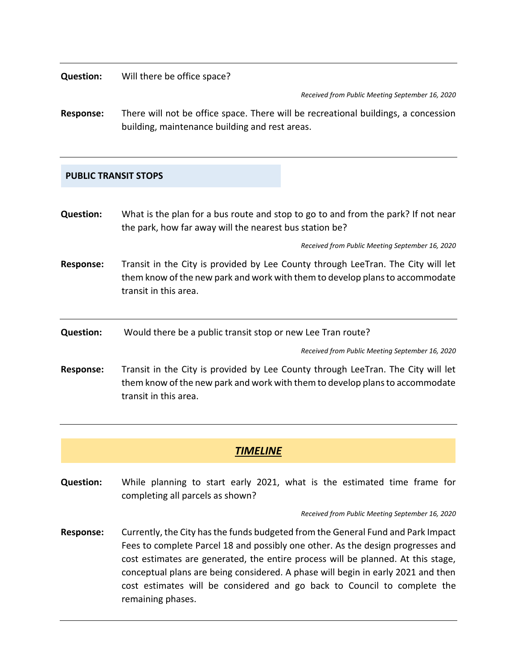**Question:** Will there be office space?

*Received from Public Meeting September 16, 2020*

**Response:** There will not be office space. There will be recreational buildings, a concession building, maintenance building and rest areas.

### **PUBLIC TRANSIT STOPS**

**Question:** What is the plan for a bus route and stop to go to and from the park? If not near the park, how far away will the nearest bus station be?

*Received from Public Meeting September 16, 2020*

- **Response:** Transit in the City is provided by Lee County through LeeTran. The City will let them know of the new park and work with them to develop plans to accommodate transit in this area.
- **Question:** Would there be a public transit stop or new Lee Tran route?

*Received from Public Meeting September 16, 2020*

**Response:** Transit in the City is provided by Lee County through LeeTran. The City will let them know of the new park and work with them to develop plans to accommodate transit in this area.

## *TIMELINE*

**Question:** While planning to start early 2021, what is the estimated time frame for completing all parcels as shown?

*Received from Public Meeting September 16, 2020*

**Response:** Currently, the City has the funds budgeted from the General Fund and Park Impact Fees to complete Parcel 18 and possibly one other. As the design progresses and cost estimates are generated, the entire process will be planned. At this stage, conceptual plans are being considered. A phase will begin in early 2021 and then cost estimates will be considered and go back to Council to complete the remaining phases.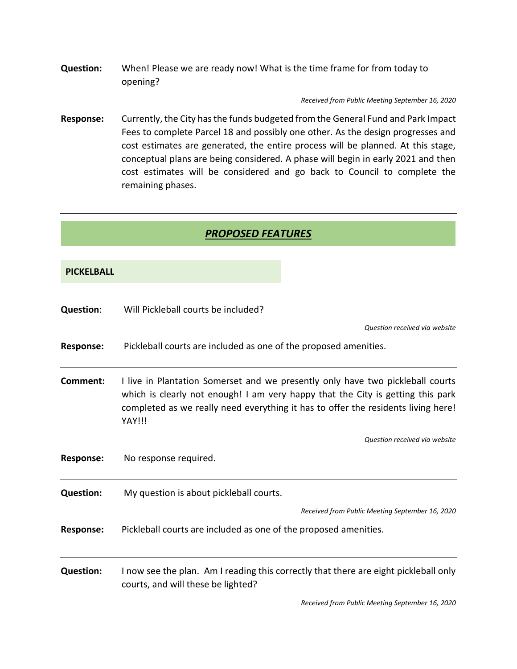**Question:** When! Please we are ready now! What is the time frame for from today to opening?

*Received from Public Meeting September 16, 2020*

**Response:** Currently, the City has the funds budgeted from the General Fund and Park Impact Fees to complete Parcel 18 and possibly one other. As the design progresses and cost estimates are generated, the entire process will be planned. At this stage, conceptual plans are being considered. A phase will begin in early 2021 and then cost estimates will be considered and go back to Council to complete the remaining phases.

## *PROPOSED FEATURES*

#### **PICKELBALL**

| <b>Question:</b> | Will Pickleball courts be included?                                                                                                                                                                                                                              |
|------------------|------------------------------------------------------------------------------------------------------------------------------------------------------------------------------------------------------------------------------------------------------------------|
|                  | Question received via website                                                                                                                                                                                                                                    |
| <b>Response:</b> | Pickleball courts are included as one of the proposed amenities.                                                                                                                                                                                                 |
| Comment:         | I live in Plantation Somerset and we presently only have two pickleball courts<br>which is clearly not enough! I am very happy that the City is getting this park<br>completed as we really need everything it has to offer the residents living here!<br>YAY!!! |
|                  | Question received via website                                                                                                                                                                                                                                    |
| <b>Response:</b> | No response required.                                                                                                                                                                                                                                            |
| <b>Question:</b> | My question is about pickleball courts.                                                                                                                                                                                                                          |
|                  | Received from Public Meeting September 16, 2020                                                                                                                                                                                                                  |
| <b>Response:</b> | Pickleball courts are included as one of the proposed amenities.                                                                                                                                                                                                 |
| <b>Question:</b> | I now see the plan. Am I reading this correctly that there are eight pickleball only<br>courts, and will these be lighted?                                                                                                                                       |

*Received from Public Meeting September 16, 2020*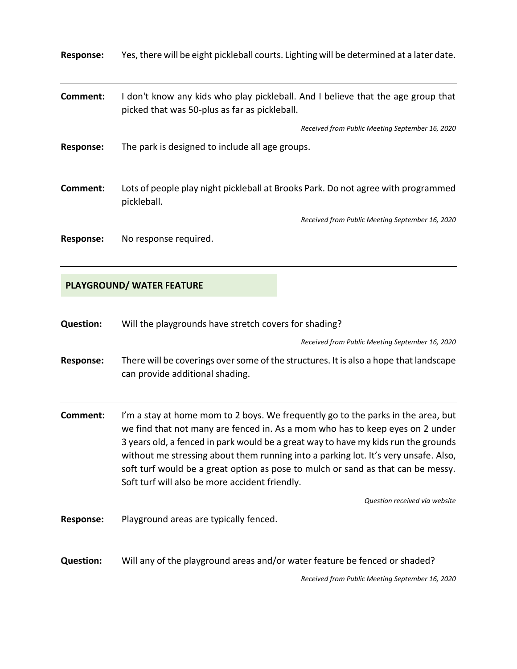| <b>Response:</b> | Yes, there will be eight pickleball courts. Lighting will be determined at a later date.                                          |
|------------------|-----------------------------------------------------------------------------------------------------------------------------------|
| Comment:         | I don't know any kids who play pickleball. And I believe that the age group that<br>picked that was 50-plus as far as pickleball. |
|                  | Received from Public Meeting September 16, 2020                                                                                   |
| <b>Response:</b> | The park is designed to include all age groups.                                                                                   |
| Comment:         | Lots of people play night pickleball at Brooks Park. Do not agree with programmed<br>pickleball.                                  |
|                  | Received from Public Meeting September 16, 2020                                                                                   |
| Response:        | No response required.                                                                                                             |

## **PLAYGROUND/ WATER FEATURE**

| <b>Question:</b> | Will the playgrounds have stretch covers for shading?                                                                                                                                                                                                                                                                                                                                                                                                                                |
|------------------|--------------------------------------------------------------------------------------------------------------------------------------------------------------------------------------------------------------------------------------------------------------------------------------------------------------------------------------------------------------------------------------------------------------------------------------------------------------------------------------|
|                  | Received from Public Meeting September 16, 2020                                                                                                                                                                                                                                                                                                                                                                                                                                      |
| <b>Response:</b> | There will be coverings over some of the structures. It is also a hope that landscape<br>can provide additional shading.                                                                                                                                                                                                                                                                                                                                                             |
| Comment:         | I'm a stay at home mom to 2 boys. We frequently go to the parks in the area, but<br>we find that not many are fenced in. As a mom who has to keep eyes on 2 under<br>3 years old, a fenced in park would be a great way to have my kids run the grounds<br>without me stressing about them running into a parking lot. It's very unsafe. Also,<br>soft turf would be a great option as pose to mulch or sand as that can be messy.<br>Soft turf will also be more accident friendly. |
|                  | Question received via website                                                                                                                                                                                                                                                                                                                                                                                                                                                        |
| <b>Response:</b> | Playground areas are typically fenced.                                                                                                                                                                                                                                                                                                                                                                                                                                               |
| <b>Question:</b> | Will any of the playground areas and/or water feature be fenced or shaded?                                                                                                                                                                                                                                                                                                                                                                                                           |

*Received from Public Meeting September 16, 2020*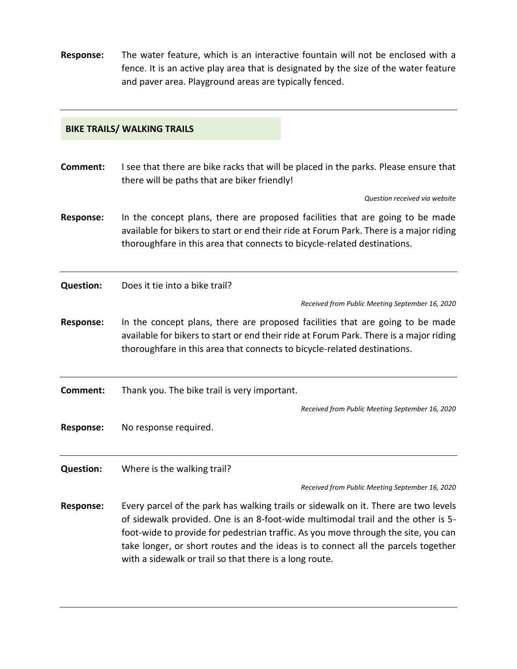**Response:** The water feature, which is an interactive fountain will not be enclosed with a fence. It is an active play area that is designated by the size of the water feature and paver area. Playground areas are typically fenced.

#### **BIKE TRAILS/ WALKING TRAILS**

**Comment:** I see that there are bike racks that will be placed in the parks. Please ensure that there will be paths that are biker friendly!

*Question received via website*

**Response:** In the concept plans, there are proposed facilities that are going to be made available for bikers to start or end their ride at Forum Park. There is a major riding thoroughfare in this area that connects to bicycle-related destinations.

**Question:** Does it tie into a bike trail?

*Received from Public Meeting September 16, 2020*

**Response:** In the concept plans, there are proposed facilities that are going to be made available for bikers to start or end their ride at Forum Park. There is a major riding thoroughfare in this area that connects to bicycle-related destinations.

**Comment:** Thank you. The bike trail is very important.

*Received from Public Meeting September 16, 2020*

**Response:** No response required.

**Question:** Where is the walking trail?

*Received from Public Meeting September 16, 2020*

**Response:** Every parcel of the park has walking trails or sidewalk on it. There are two levels of sidewalk provided. One is an 8-foot-wide multimodal trail and the other is 5 foot-wide to provide for pedestrian traffic. As you move through the site, you can take longer, or short routes and the ideas is to connect all the parcels together with a sidewalk or trail so that there is a long route.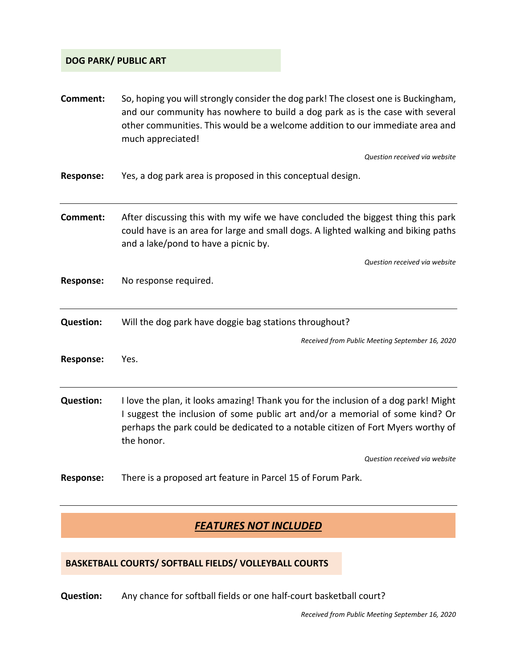### **DOG PARK/ PUBLIC ART**

| Comment:         | So, hoping you will strongly consider the dog park! The closest one is Buckingham,<br>and our community has nowhere to build a dog park as is the case with several<br>other communities. This would be a welcome addition to our immediate area and<br>much appreciated! |
|------------------|---------------------------------------------------------------------------------------------------------------------------------------------------------------------------------------------------------------------------------------------------------------------------|
|                  | Question received via website                                                                                                                                                                                                                                             |
| <b>Response:</b> | Yes, a dog park area is proposed in this conceptual design.                                                                                                                                                                                                               |
| Comment:         | After discussing this with my wife we have concluded the biggest thing this park<br>could have is an area for large and small dogs. A lighted walking and biking paths<br>and a lake/pond to have a picnic by.                                                            |
|                  | Question received via website                                                                                                                                                                                                                                             |
| <b>Response:</b> | No response required.                                                                                                                                                                                                                                                     |
| <b>Question:</b> | Will the dog park have doggie bag stations throughout?                                                                                                                                                                                                                    |
|                  | Received from Public Meeting September 16, 2020                                                                                                                                                                                                                           |
| <b>Response:</b> | Yes.                                                                                                                                                                                                                                                                      |
| <b>Question:</b> | I love the plan, it looks amazing! Thank you for the inclusion of a dog park! Might<br>I suggest the inclusion of some public art and/or a memorial of some kind? Or<br>perhaps the park could be dedicated to a notable citizen of Fort Myers worthy of<br>the honor.    |
|                  | Question received via website                                                                                                                                                                                                                                             |
| <b>Response:</b> | There is a proposed art feature in Parcel 15 of Forum Park.                                                                                                                                                                                                               |

## *FEATURES NOT INCLUDED*

## **BASKETBALL COURTS/ SOFTBALL FIELDS/ VOLLEYBALL COURTS**

**Question:** Any chance for softball fields or one half-court basketball court?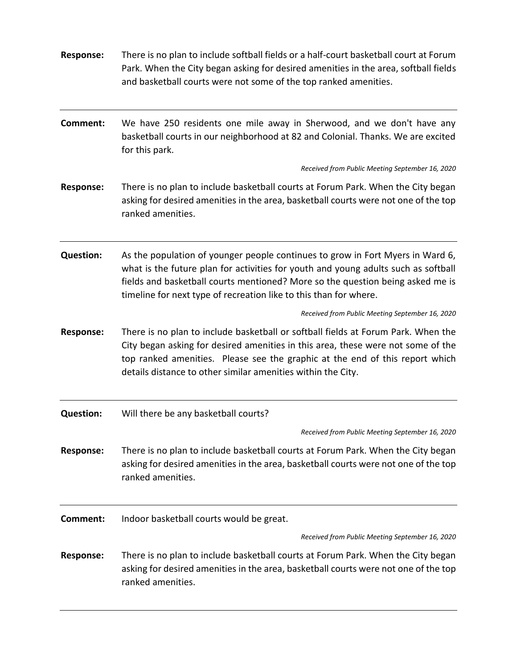| <b>Response:</b> | There is no plan to include softball fields or a half-court basketball court at Forum<br>Park. When the City began asking for desired amenities in the area, softball fields<br>and basketball courts were not some of the top ranked amenities.                                                                            |
|------------------|-----------------------------------------------------------------------------------------------------------------------------------------------------------------------------------------------------------------------------------------------------------------------------------------------------------------------------|
| <b>Comment:</b>  | We have 250 residents one mile away in Sherwood, and we don't have any<br>basketball courts in our neighborhood at 82 and Colonial. Thanks. We are excited<br>for this park.                                                                                                                                                |
|                  | Received from Public Meeting September 16, 2020                                                                                                                                                                                                                                                                             |
| <b>Response:</b> | There is no plan to include basketball courts at Forum Park. When the City began<br>asking for desired amenities in the area, basketball courts were not one of the top<br>ranked amenities.                                                                                                                                |
| <b>Question:</b> | As the population of younger people continues to grow in Fort Myers in Ward 6,<br>what is the future plan for activities for youth and young adults such as softball<br>fields and basketball courts mentioned? More so the question being asked me is<br>timeline for next type of recreation like to this than for where. |
|                  | Received from Public Meeting September 16, 2020                                                                                                                                                                                                                                                                             |
| <b>Response:</b> | There is no plan to include basketball or softball fields at Forum Park. When the<br>City began asking for desired amenities in this area, these were not some of the<br>top ranked amenities. Please see the graphic at the end of this report which<br>details distance to other similar amenities within the City.       |
| <b>Question:</b> | Will there be any basketball courts?                                                                                                                                                                                                                                                                                        |
|                  | Received from Public Meeting September 16, 2020                                                                                                                                                                                                                                                                             |
| <b>Response:</b> | There is no plan to include basketball courts at Forum Park. When the City began<br>asking for desired amenities in the area, basketball courts were not one of the top<br>ranked amenities.                                                                                                                                |
| <b>Comment:</b>  | Indoor basketball courts would be great.                                                                                                                                                                                                                                                                                    |
|                  | Received from Public Meeting September 16, 2020                                                                                                                                                                                                                                                                             |
| <b>Response:</b> | There is no plan to include basketball courts at Forum Park. When the City began<br>asking for desired amenities in the area, basketball courts were not one of the top<br>ranked amenities.                                                                                                                                |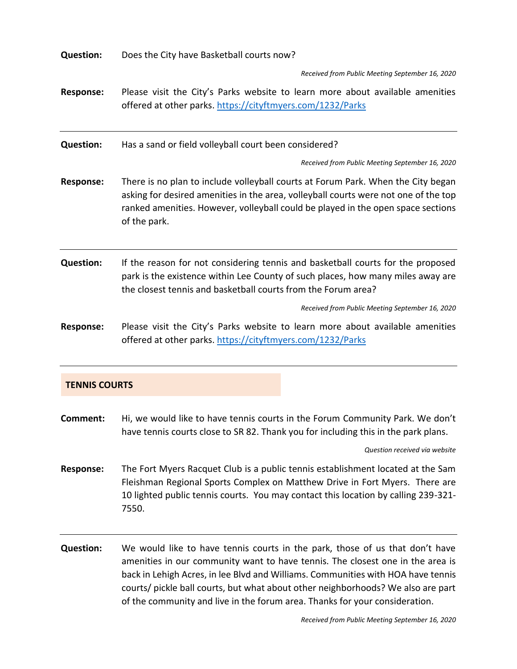| <b>Question:</b>     | Does the City have Basketball courts now?                                                                                                                                                                                                                                   |
|----------------------|-----------------------------------------------------------------------------------------------------------------------------------------------------------------------------------------------------------------------------------------------------------------------------|
|                      | Received from Public Meeting September 16, 2020                                                                                                                                                                                                                             |
| <b>Response:</b>     | Please visit the City's Parks website to learn more about available amenities<br>offered at other parks. https://cityftmyers.com/1232/Parks                                                                                                                                 |
| <b>Question:</b>     | Has a sand or field volleyball court been considered?                                                                                                                                                                                                                       |
|                      | Received from Public Meeting September 16, 2020                                                                                                                                                                                                                             |
| <b>Response:</b>     | There is no plan to include volleyball courts at Forum Park. When the City began<br>asking for desired amenities in the area, volleyball courts were not one of the top<br>ranked amenities. However, volleyball could be played in the open space sections<br>of the park. |
| <b>Question:</b>     | If the reason for not considering tennis and basketball courts for the proposed<br>park is the existence within Lee County of such places, how many miles away are<br>the closest tennis and basketball courts from the Forum area?                                         |
|                      | Received from Public Meeting September 16, 2020                                                                                                                                                                                                                             |
| <b>Response:</b>     | Please visit the City's Parks website to learn more about available amenities<br>offered at other parks. https://cityftmyers.com/1232/Parks                                                                                                                                 |
| <b>TENNIS COURTS</b> |                                                                                                                                                                                                                                                                             |

**Comment:** Hi, we would like to have tennis courts in the Forum Community Park. We don't have tennis courts close to SR 82. Thank you for including this in the park plans.

*Question received via website*

- **Response:** The Fort Myers Racquet Club is a public tennis establishment located at the Sam Fleishman Regional Sports Complex on Matthew Drive in Fort Myers. There are 10 lighted public tennis courts. You may contact this location by calling 239-321- 7550.
- **Question:** We would like to have tennis courts in the park, those of us that don't have amenities in our community want to have tennis. The closest one in the area is back in Lehigh Acres, in lee Blvd and Williams. Communities with HOA have tennis courts/ pickle ball courts, but what about other neighborhoods? We also are part of the community and live in the forum area. Thanks for your consideration.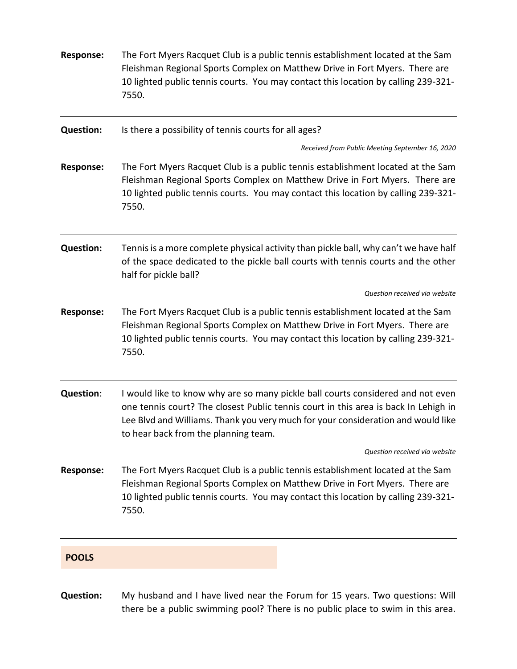| <b>Response:</b> | The Fort Myers Racquet Club is a public tennis establishment located at the Sam<br>Fleishman Regional Sports Complex on Matthew Drive in Fort Myers. There are<br>10 lighted public tennis courts. You may contact this location by calling 239-321-<br>7550.                                      |
|------------------|----------------------------------------------------------------------------------------------------------------------------------------------------------------------------------------------------------------------------------------------------------------------------------------------------|
| <b>Question:</b> | Is there a possibility of tennis courts for all ages?                                                                                                                                                                                                                                              |
|                  | Received from Public Meeting September 16, 2020                                                                                                                                                                                                                                                    |
| <b>Response:</b> | The Fort Myers Racquet Club is a public tennis establishment located at the Sam<br>Fleishman Regional Sports Complex on Matthew Drive in Fort Myers. There are<br>10 lighted public tennis courts. You may contact this location by calling 239-321-<br>7550.                                      |
| <b>Question:</b> | Tennis is a more complete physical activity than pickle ball, why can't we have half<br>of the space dedicated to the pickle ball courts with tennis courts and the other<br>half for pickle ball?                                                                                                 |
|                  | Question received via website                                                                                                                                                                                                                                                                      |
| <b>Response:</b> | The Fort Myers Racquet Club is a public tennis establishment located at the Sam<br>Fleishman Regional Sports Complex on Matthew Drive in Fort Myers. There are<br>10 lighted public tennis courts. You may contact this location by calling 239-321-<br>7550.                                      |
| <b>Question:</b> | I would like to know why are so many pickle ball courts considered and not even<br>one tennis court? The closest Public tennis court in this area is back In Lehigh in<br>Lee Blvd and Williams. Thank you very much for your consideration and would like<br>to hear back from the planning team. |
|                  | Question received via website                                                                                                                                                                                                                                                                      |
| <b>Response:</b> | The Fort Myers Racquet Club is a public tennis establishment located at the Sam<br>Fleishman Regional Sports Complex on Matthew Drive in Fort Myers. There are<br>10 lighted public tennis courts. You may contact this location by calling 239-321-<br>7550.                                      |
| <b>POOLS</b>     |                                                                                                                                                                                                                                                                                                    |
| <b>Question:</b> | My husband and I have lived near the Forum for 15 years. Two questions: Will                                                                                                                                                                                                                       |

there be a public swimming pool? There is no public place to swim in this area.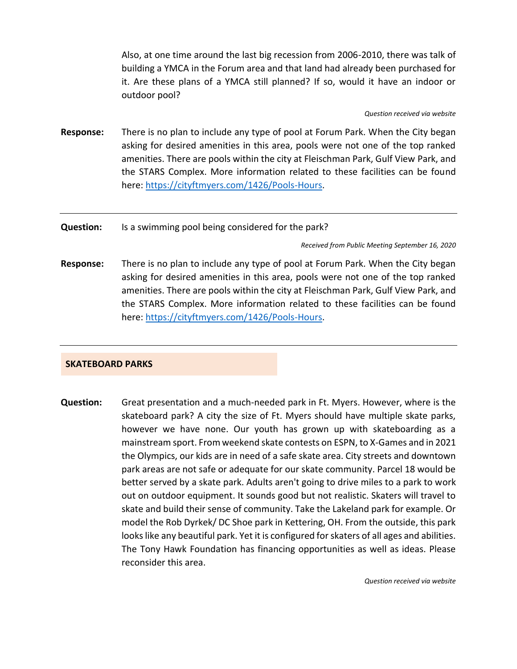Also, at one time around the last big recession from 2006-2010, there was talk of building a YMCA in the Forum area and that land had already been purchased for it. Are these plans of a YMCA still planned? If so, would it have an indoor or outdoor pool?

#### *Question received via website*

**Response:** There is no plan to include any type of pool at Forum Park. When the City began asking for desired amenities in this area, pools were not one of the top ranked amenities. There are pools within the city at Fleischman Park, Gulf View Park, and the STARS Complex. More information related to these facilities can be found here: [https://cityftmyers.com/1426/Pools-Hours.](https://cityftmyers.com/1426/Pools-Hours)

#### **Question:** Is a swimming pool being considered for the park?

*Received from Public Meeting September 16, 2020*

**Response:** There is no plan to include any type of pool at Forum Park. When the City began asking for desired amenities in this area, pools were not one of the top ranked amenities. There are pools within the city at Fleischman Park, Gulf View Park, and the STARS Complex. More information related to these facilities can be found here: [https://cityftmyers.com/1426/Pools-Hours.](https://cityftmyers.com/1426/Pools-Hours)

#### **SKATEBOARD PARKS**

**Question:** Great presentation and a much-needed park in Ft. Myers. However, where is the skateboard park? A city the size of Ft. Myers should have multiple skate parks, however we have none. Our youth has grown up with skateboarding as a mainstream sport. From weekend skate contests on ESPN, to X-Games and in 2021 the Olympics, our kids are in need of a safe skate area. City streets and downtown park areas are not safe or adequate for our skate community. Parcel 18 would be better served by a skate park. Adults aren't going to drive miles to a park to work out on outdoor equipment. It sounds good but not realistic. Skaters will travel to skate and build their sense of community. Take the Lakeland park for example. Or model the Rob Dyrkek/ DC Shoe park in Kettering, OH. From the outside, this park looks like any beautiful park. Yet it is configured for skaters of all ages and abilities. The Tony Hawk Foundation has financing opportunities as well as ideas. Please reconsider this area.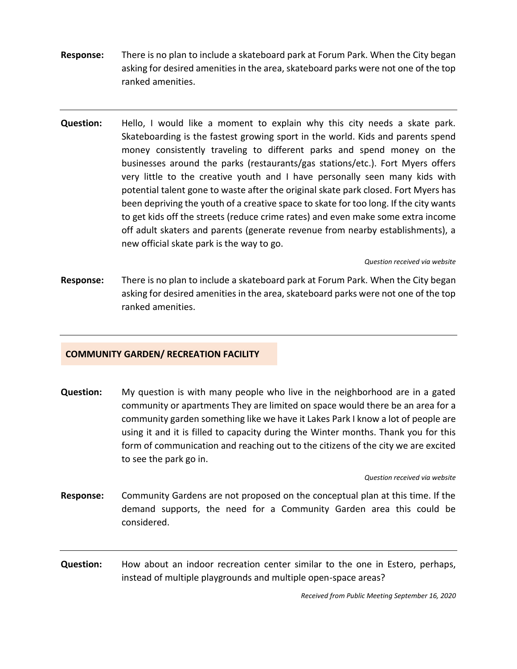- **Response:** There is no plan to include a skateboard park at Forum Park. When the City began asking for desired amenities in the area, skateboard parks were not one of the top ranked amenities.
- **Question:** Hello, I would like a moment to explain why this city needs a skate park. Skateboarding is the fastest growing sport in the world. Kids and parents spend money consistently traveling to different parks and spend money on the businesses around the parks (restaurants/gas stations/etc.). Fort Myers offers very little to the creative youth and I have personally seen many kids with potential talent gone to waste after the original skate park closed. Fort Myers has been depriving the youth of a creative space to skate for too long. If the city wants to get kids off the streets (reduce crime rates) and even make some extra income off adult skaters and parents (generate revenue from nearby establishments), a new official skate park is the way to go.

*Question received via website*

**Response:** There is no plan to include a skateboard park at Forum Park. When the City began asking for desired amenities in the area, skateboard parks were not one of the top ranked amenities.

#### **COMMUNITY GARDEN/ RECREATION FACILITY**

**Question:** My question is with many people who live in the neighborhood are in a gated community or apartments They are limited on space would there be an area for a community garden something like we have it Lakes Park I know a lot of people are using it and it is filled to capacity during the Winter months. Thank you for this form of communication and reaching out to the citizens of the city we are excited to see the park go in.

#### *Question received via website*

- **Response:** Community Gardens are not proposed on the conceptual plan at this time. If the demand supports, the need for a Community Garden area this could be considered.
- **Question:** How about an indoor recreation center similar to the one in Estero, perhaps, instead of multiple playgrounds and multiple open-space areas?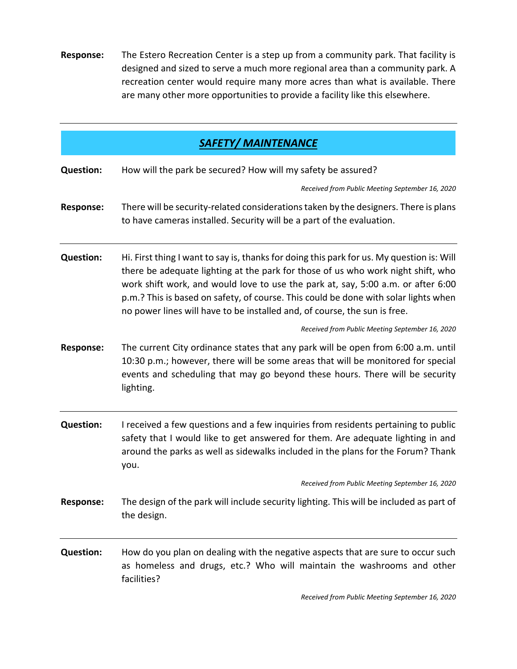**Response:** The Estero Recreation Center is a step up from a community park. That facility is designed and sized to serve a much more regional area than a community park. A recreation center would require many more acres than what is available. There are many other more opportunities to provide a facility like this elsewhere.

| <b>SAFETY/ MAINTENANCE</b> |                                                                                                                                                                                                                                                                                                                                                                                                                                       |  |  |  |
|----------------------------|---------------------------------------------------------------------------------------------------------------------------------------------------------------------------------------------------------------------------------------------------------------------------------------------------------------------------------------------------------------------------------------------------------------------------------------|--|--|--|
| <b>Question:</b>           | How will the park be secured? How will my safety be assured?                                                                                                                                                                                                                                                                                                                                                                          |  |  |  |
|                            | Received from Public Meeting September 16, 2020                                                                                                                                                                                                                                                                                                                                                                                       |  |  |  |
| <b>Response:</b>           | There will be security-related considerations taken by the designers. There is plans<br>to have cameras installed. Security will be a part of the evaluation.                                                                                                                                                                                                                                                                         |  |  |  |
| <b>Question:</b>           | Hi. First thing I want to say is, thanks for doing this park for us. My question is: Will<br>there be adequate lighting at the park for those of us who work night shift, who<br>work shift work, and would love to use the park at, say, 5:00 a.m. or after 6:00<br>p.m.? This is based on safety, of course. This could be done with solar lights when<br>no power lines will have to be installed and, of course, the sun is free. |  |  |  |
|                            | Received from Public Meeting September 16, 2020                                                                                                                                                                                                                                                                                                                                                                                       |  |  |  |
| <b>Response:</b>           | The current City ordinance states that any park will be open from 6:00 a.m. until<br>10:30 p.m.; however, there will be some areas that will be monitored for special<br>events and scheduling that may go beyond these hours. There will be security<br>lighting.                                                                                                                                                                    |  |  |  |
| <b>Question:</b>           | I received a few questions and a few inquiries from residents pertaining to public<br>safety that I would like to get answered for them. Are adequate lighting in and<br>around the parks as well as sidewalks included in the plans for the Forum? Thank<br>you.                                                                                                                                                                     |  |  |  |
|                            | Received from Public Meeting September 16, 2020                                                                                                                                                                                                                                                                                                                                                                                       |  |  |  |
| <b>Response:</b>           | The design of the park will include security lighting. This will be included as part of<br>the design.                                                                                                                                                                                                                                                                                                                                |  |  |  |
| <b>Question:</b>           | How do you plan on dealing with the negative aspects that are sure to occur such<br>as homeless and drugs, etc.? Who will maintain the washrooms and other<br>facilities?                                                                                                                                                                                                                                                             |  |  |  |
|                            | Received from Public Meeting September 16, 2020                                                                                                                                                                                                                                                                                                                                                                                       |  |  |  |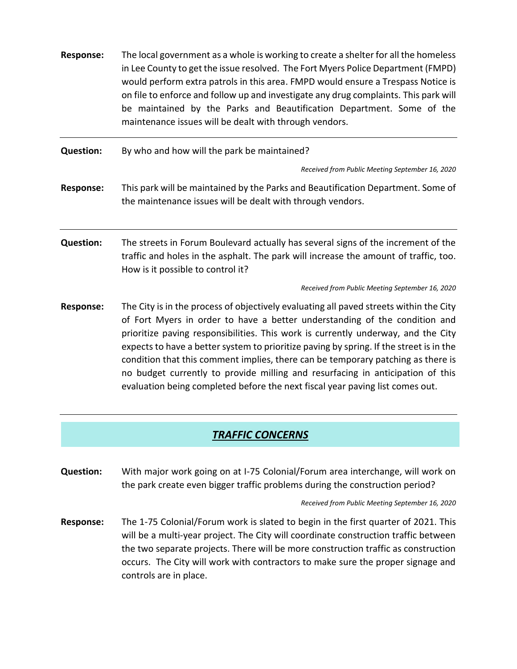- **Response:** The local government as a whole is working to create a shelter for all the homeless in Lee County to get the issue resolved. The Fort Myers Police Department (FMPD) would perform extra patrols in this area. FMPD would ensure a Trespass Notice is on file to enforce and follow up and investigate any drug complaints. This park will be maintained by the Parks and Beautification Department. Some of the maintenance issues will be dealt with through vendors. **Question:** By who and how will the park be maintained? *Received from Public Meeting September 16, 2020* **Response:** This park will be maintained by the Parks and Beautification Department. Some of the maintenance issues will be dealt with through vendors. **Question:** The streets in Forum Boulevard actually has several signs of the increment of the traffic and holes in the asphalt. The park will increase the amount of traffic, too. How is it possible to control it? *Received from Public Meeting September 16, 2020* **Response:** The City is in the process of objectively evaluating all paved streets within the City of Fort Myers in order to have a better understanding of the condition and prioritize paving responsibilities. This work is currently underway, and the City expects to have a better system to prioritize paving by spring. If the street is in the
	- condition that this comment implies, there can be temporary patching as there is no budget currently to provide milling and resurfacing in anticipation of this evaluation being completed before the next fiscal year paving list comes out.

## *TRAFFIC CONCERNS*

**Question:** With major work going on at I-75 Colonial/Forum area interchange, will work on the park create even bigger traffic problems during the construction period?

*Received from Public Meeting September 16, 2020*

**Response:** The 1-75 Colonial/Forum work is slated to begin in the first quarter of 2021. This will be a multi-year project. The City will coordinate construction traffic between the two separate projects. There will be more construction traffic as construction occurs. The City will work with contractors to make sure the proper signage and controls are in place.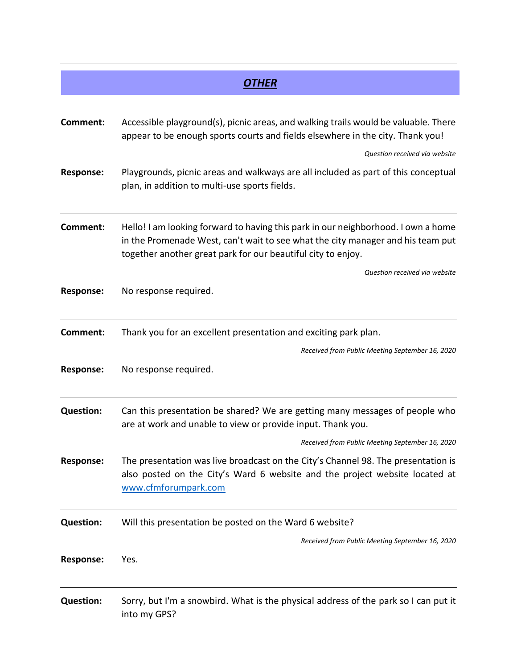|                  | <i><b>OTHER</b></i>                                                                                                                                                                                                                  |  |  |
|------------------|--------------------------------------------------------------------------------------------------------------------------------------------------------------------------------------------------------------------------------------|--|--|
|                  |                                                                                                                                                                                                                                      |  |  |
| Comment:         | Accessible playground(s), picnic areas, and walking trails would be valuable. There<br>appear to be enough sports courts and fields elsewhere in the city. Thank you!                                                                |  |  |
|                  | Question received via website                                                                                                                                                                                                        |  |  |
| <b>Response:</b> | Playgrounds, picnic areas and walkways are all included as part of this conceptual<br>plan, in addition to multi-use sports fields.                                                                                                  |  |  |
| <b>Comment:</b>  | Hello! I am looking forward to having this park in our neighborhood. I own a home<br>in the Promenade West, can't wait to see what the city manager and his team put<br>together another great park for our beautiful city to enjoy. |  |  |
|                  | Question received via website                                                                                                                                                                                                        |  |  |
| <b>Response:</b> | No response required.                                                                                                                                                                                                                |  |  |
| <b>Comment:</b>  | Thank you for an excellent presentation and exciting park plan.                                                                                                                                                                      |  |  |
|                  | Received from Public Meeting September 16, 2020                                                                                                                                                                                      |  |  |
| <b>Response:</b> | No response required.                                                                                                                                                                                                                |  |  |
| <b>Question:</b> | Can this presentation be shared? We are getting many messages of people who<br>are at work and unable to view or provide input. Thank you.                                                                                           |  |  |
|                  | Received from Public Meeting September 16, 2020                                                                                                                                                                                      |  |  |
| <b>Response:</b> | The presentation was live broadcast on the City's Channel 98. The presentation is<br>also posted on the City's Ward 6 website and the project website located at<br>www.cfmforumpark.com                                             |  |  |
| <b>Question:</b> | Will this presentation be posted on the Ward 6 website?                                                                                                                                                                              |  |  |
|                  | Received from Public Meeting September 16, 2020                                                                                                                                                                                      |  |  |
| <b>Response:</b> | Yes.                                                                                                                                                                                                                                 |  |  |
| <b>Question:</b> | Sorry, but I'm a snowbird. What is the physical address of the park so I can put it<br>into my GPS?                                                                                                                                  |  |  |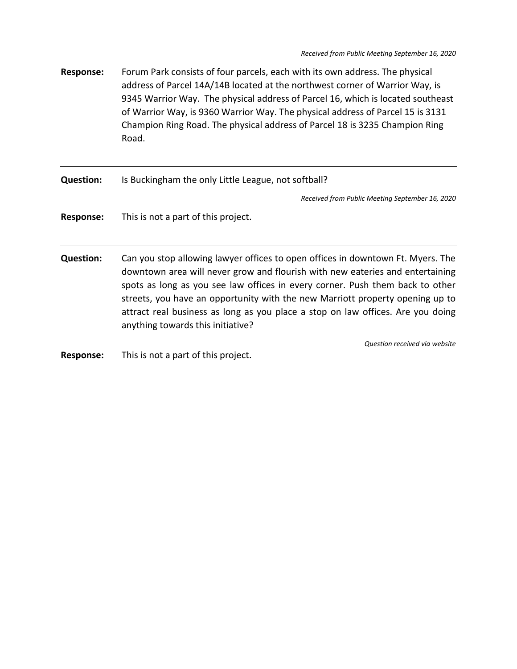**Response:** Forum Park consists of four parcels, each with its own address. The physical address of Parcel 14A/14B located at the northwest corner of Warrior Way, is 9345 Warrior Way. The physical address of Parcel 16, which is located southeast of Warrior Way, is 9360 Warrior Way. The physical address of Parcel 15 is 3131 Champion Ring Road. The physical address of Parcel 18 is 3235 Champion Ring Road.

**Question:** Is Buckingham the only Little League, not softball?

*Received from Public Meeting September 16, 2020*

**Response:** This is not a part of this project.

**Question:** Can you stop allowing lawyer offices to open offices in downtown Ft. Myers. The downtown area will never grow and flourish with new eateries and entertaining spots as long as you see law offices in every corner. Push them back to other streets, you have an opportunity with the new Marriott property opening up to attract real business as long as you place a stop on law offices. Are you doing anything towards this initiative?

*Question received via website*

**Response:** This is not a part of this project.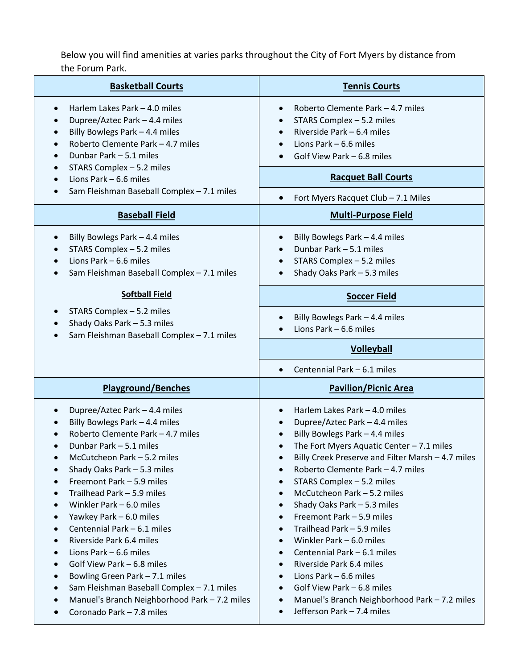## Below you will find amenities at varies parks throughout the City of Fort Myers by distance from the Forum Park.

| <b>Basketball Courts</b>                                                                                                                                                                                                                                                                                                                                                                                                                                                                                                                                                                          | <b>Tennis Courts</b>                                                                                                                                                                                                                                                                                                                                                                                                                                                                                                                                                                                                                                                                                                                                                              |  |  |
|---------------------------------------------------------------------------------------------------------------------------------------------------------------------------------------------------------------------------------------------------------------------------------------------------------------------------------------------------------------------------------------------------------------------------------------------------------------------------------------------------------------------------------------------------------------------------------------------------|-----------------------------------------------------------------------------------------------------------------------------------------------------------------------------------------------------------------------------------------------------------------------------------------------------------------------------------------------------------------------------------------------------------------------------------------------------------------------------------------------------------------------------------------------------------------------------------------------------------------------------------------------------------------------------------------------------------------------------------------------------------------------------------|--|--|
| Harlem Lakes Park - 4.0 miles<br>Dupree/Aztec Park - 4.4 miles<br>Billy Bowlegs Park - 4.4 miles<br>Roberto Clemente Park - 4.7 miles<br>Dunbar Park - 5.1 miles                                                                                                                                                                                                                                                                                                                                                                                                                                  | Roberto Clemente Park - 4.7 miles<br>$\bullet$<br>STARS Complex - 5.2 miles<br>Riverside Park - 6.4 miles<br>$\bullet$<br>Lions Park - 6.6 miles<br>Golf View Park - 6.8 miles<br>$\bullet$                                                                                                                                                                                                                                                                                                                                                                                                                                                                                                                                                                                       |  |  |
| STARS Complex - 5.2 miles<br>Lions Park - 6.6 miles<br>Sam Fleishman Baseball Complex - 7.1 miles                                                                                                                                                                                                                                                                                                                                                                                                                                                                                                 | <b>Racquet Ball Courts</b>                                                                                                                                                                                                                                                                                                                                                                                                                                                                                                                                                                                                                                                                                                                                                        |  |  |
| <b>Baseball Field</b>                                                                                                                                                                                                                                                                                                                                                                                                                                                                                                                                                                             | Fort Myers Racquet Club - 7.1 Miles<br><b>Multi-Purpose Field</b>                                                                                                                                                                                                                                                                                                                                                                                                                                                                                                                                                                                                                                                                                                                 |  |  |
| Billy Bowlegs Park - 4.4 miles<br>$\bullet$<br>STARS Complex - 5.2 miles<br>Lions Park - 6.6 miles<br>Sam Fleishman Baseball Complex - 7.1 miles                                                                                                                                                                                                                                                                                                                                                                                                                                                  | Billy Bowlegs Park - 4.4 miles<br>$\bullet$<br>Dunbar Park - 5.1 miles<br>STARS Complex - 5.2 miles<br>Shady Oaks Park - 5.3 miles<br>$\bullet$                                                                                                                                                                                                                                                                                                                                                                                                                                                                                                                                                                                                                                   |  |  |
| <b>Softball Field</b>                                                                                                                                                                                                                                                                                                                                                                                                                                                                                                                                                                             | <b>Soccer Field</b>                                                                                                                                                                                                                                                                                                                                                                                                                                                                                                                                                                                                                                                                                                                                                               |  |  |
| STARS Complex - 5.2 miles<br>Shady Oaks Park - 5.3 miles<br>Sam Fleishman Baseball Complex - 7.1 miles                                                                                                                                                                                                                                                                                                                                                                                                                                                                                            | Billy Bowlegs Park - 4.4 miles<br>Lions Park - 6.6 miles                                                                                                                                                                                                                                                                                                                                                                                                                                                                                                                                                                                                                                                                                                                          |  |  |
|                                                                                                                                                                                                                                                                                                                                                                                                                                                                                                                                                                                                   | <b>Volleyball</b>                                                                                                                                                                                                                                                                                                                                                                                                                                                                                                                                                                                                                                                                                                                                                                 |  |  |
|                                                                                                                                                                                                                                                                                                                                                                                                                                                                                                                                                                                                   | Centennial Park - 6.1 miles<br>$\bullet$                                                                                                                                                                                                                                                                                                                                                                                                                                                                                                                                                                                                                                                                                                                                          |  |  |
| <b>Playground/Benches</b>                                                                                                                                                                                                                                                                                                                                                                                                                                                                                                                                                                         | <b>Pavilion/Picnic Area</b>                                                                                                                                                                                                                                                                                                                                                                                                                                                                                                                                                                                                                                                                                                                                                       |  |  |
| Dupree/Aztec Park - 4.4 miles<br>Billy Bowlegs Park - 4.4 miles<br>Roberto Clemente Park - 4.7 miles<br>Dunbar Park - 5.1 miles<br>McCutcheon Park - 5.2 miles<br>Shady Oaks Park - 5.3 miles<br>Freemont Park - 5.9 miles<br>Trailhead Park - 5.9 miles<br>Winkler Park - 6.0 miles<br>Yawkey Park - 6.0 miles<br>Centennial Park - 6.1 miles<br>Riverside Park 6.4 miles<br>Lions Park $-6.6$ miles<br>Golf View Park - 6.8 miles<br>Bowling Green Park - 7.1 miles<br>Sam Fleishman Baseball Complex - 7.1 miles<br>Manuel's Branch Neighborhood Park - 7.2 miles<br>Coronado Park - 7.8 miles | Harlem Lakes Park - 4.0 miles<br>Dupree/Aztec Park - 4.4 miles<br>Billy Bowlegs Park - 4.4 miles<br>The Fort Myers Aquatic Center $-7.1$ miles<br>Billy Creek Preserve and Filter Marsh - 4.7 miles<br>Roberto Clemente Park - 4.7 miles<br>$\bullet$<br>STARS Complex - 5.2 miles<br>$\bullet$<br>McCutcheon Park - 5.2 miles<br>$\bullet$<br>Shady Oaks Park - 5.3 miles<br>$\bullet$<br>Freemont Park - 5.9 miles<br>$\bullet$<br>Trailhead Park - 5.9 miles<br>Winkler Park - 6.0 miles<br>$\bullet$<br>Centennial Park - 6.1 miles<br>$\bullet$<br>Riverside Park 6.4 miles<br>$\bullet$<br>Lions Park $-6.6$ miles<br>$\bullet$<br>Golf View Park - 6.8 miles<br>$\bullet$<br>Manuel's Branch Neighborhood Park - 7.2 miles<br>٠<br>Jefferson Park - 7.4 miles<br>$\bullet$ |  |  |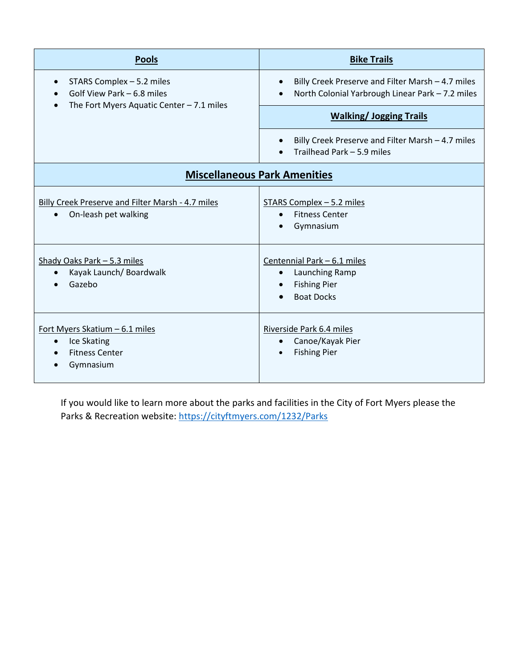| <b>Pools</b>                                                                                                       | <b>Bike Trails</b>                                                                                                 |  |  |  |  |
|--------------------------------------------------------------------------------------------------------------------|--------------------------------------------------------------------------------------------------------------------|--|--|--|--|
| STARS Complex - 5.2 miles<br>$\bullet$<br>Golf View Park – 6.8 miles<br>The Fort Myers Aquatic Center $-7.1$ miles | Billy Creek Preserve and Filter Marsh - 4.7 miles<br>$\bullet$<br>North Colonial Yarbrough Linear Park - 7.2 miles |  |  |  |  |
|                                                                                                                    | <b>Walking/Jogging Trails</b>                                                                                      |  |  |  |  |
|                                                                                                                    | Billy Creek Preserve and Filter Marsh - 4.7 miles<br>$\bullet$<br>Trailhead Park - 5.9 miles                       |  |  |  |  |
| <b>Miscellaneous Park Amenities</b>                                                                                |                                                                                                                    |  |  |  |  |
| <b>Billy Creek Preserve and Filter Marsh - 4.7 miles</b><br>On-leash pet walking<br>$\bullet$                      | STARS Complex - 5.2 miles<br><b>Fitness Center</b><br>Gymnasium                                                    |  |  |  |  |
| Shady Oaks Park - 5.3 miles<br>Kayak Launch/ Boardwalk<br>$\bullet$<br>Gazebo                                      | Centennial Park - 6.1 miles<br>Launching Ramp<br>$\bullet$<br><b>Fishing Pier</b><br><b>Boat Docks</b>             |  |  |  |  |
| Fort Myers Skatium - 6.1 miles<br>Ice Skating<br>$\bullet$<br><b>Fitness Center</b><br>$\bullet$<br>Gymnasium      | Riverside Park 6.4 miles<br>Canoe/Kayak Pier<br>$\bullet$<br><b>Fishing Pier</b>                                   |  |  |  |  |

If you would like to learn more about the parks and facilities in the City of Fort Myers please the Parks & Recreation website[: https://cityftmyers.com/1232/Parks](https://cityftmyers.com/1232/Parks)